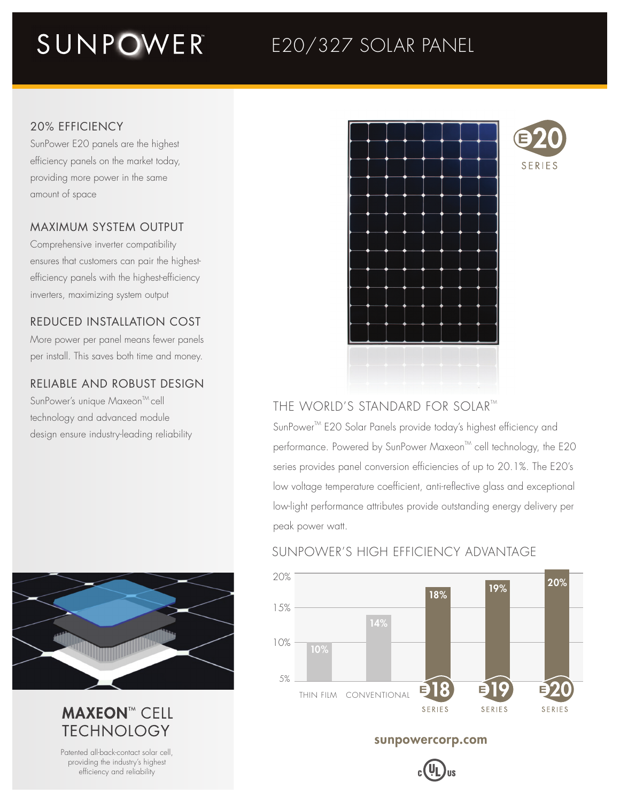## SUNPOWER

### E20/327 SOLAR PANEL

### 20% EFFICIENCY

SunPower E20 panels are the highest efficiency panels on the market today, providing more power in the same amount of space

### MAXIMUM SYSTEM OUTPUT

Comprehensive inverter compatibility ensures that customers can pair the highestefficiency panels with the highest-efficiency inverters, maximizing system output

### REDUCED INSTALLATION COST

More power per panel means fewer panels per install. This saves both time and money.

### RELIABLE AND ROBUST DESIGN

SunPower's unique Maxeon<sup>™</sup>cell technology and advanced module design ensure industry-leading reliability



### **MAXEON™ CELL TFCHNOLOGY**

Patented all-back-contact solar cell, providing the industry's highest efficiency and reliability



# SERIES

### THE WORLD'S STANDARD FOR SOLAR™

SunPower<sup>™</sup> E20 Solar Panels provide today's highest efficiency and performance. Powered by SunPower Maxeon<sup>™</sup> cell technology, the E20 series provides panel conversion efficiencies of up to 20.1%. The E20's low voltage temperature coefficient, anti-reflective glass and exceptional low-light performance attributes provide outstanding energy delivery per peak power watt.

### SUNPOWER'S HIGH EFFICIENCY ADVANTAGE



### sunpowercorp.com